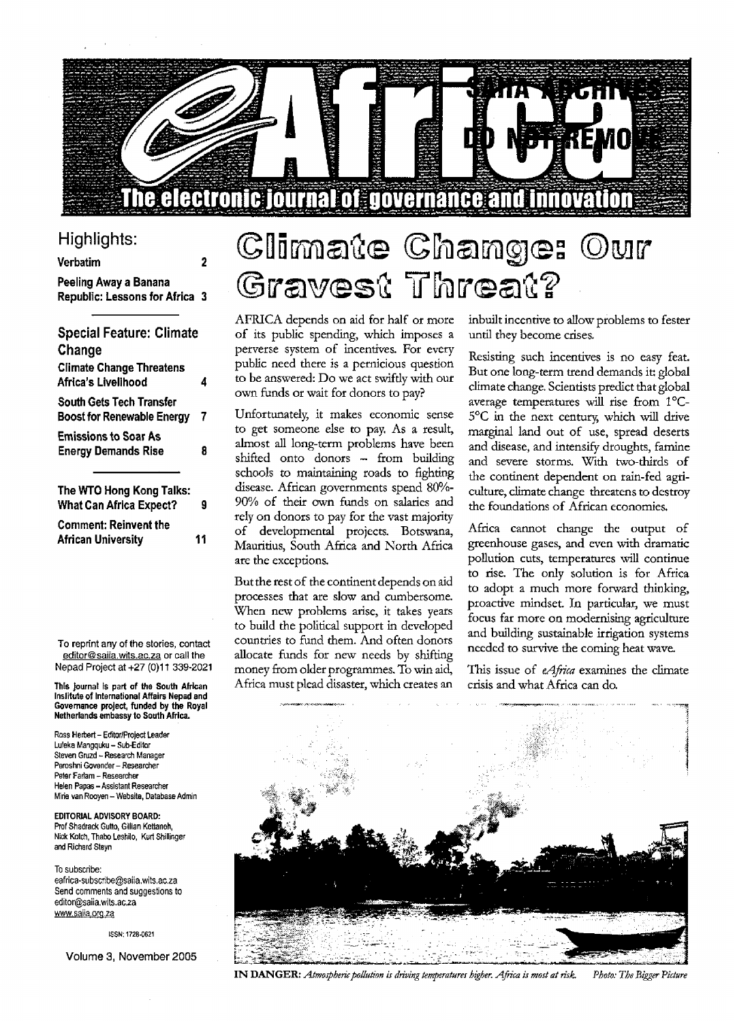

### Highlights:

#### $\overline{2}$ **Verbatim Peeling Away a Banana Republic: Lessons for Africa 3**

| <b>Special Feature: Climate</b> |   |
|---------------------------------|---|
| Change                          |   |
| <b>Climate Change Threatens</b> |   |
| Africa's Livelihood             | 4 |
| South Gets Tech Transfer        |   |
| Boost for Renewable Energy      | 7 |
| Emissions to Soar As            |   |
| <b>Energy Demands Rise</b>      | 8 |
| The WTO Hong Kong Talks:        |   |
| <b>What Can Africa Expect?</b>  | 9 |
| <b>Comment: Reinvent the</b>    |   |
| African University              | 1 |

To reprint any of the stories, contact editor@saiia.wits.ac.za or call the Nepad Project at +27 (0)11 339-2021

**This journal is part of the South African Institute of International Affairs Nepad and Governance project, funded by the Royal Netherlands embassy to South Africa.**

Ross Herbert - Editor/Project Leader Luleka Mangquku - Sub-Editor Steven Gruzd - Research Manager Peroshni Govender - Researcher Peter Farlam - Researcher Helen Papas - Assistant Researcher Mine van Rooyen - Website, Database Admin

**EDITORIAL ADVISORY BOARD:** Prof Shadrack Gutto, Gillian Kettaneh, Nick Kolch, Thabo Leshilo, Kurt Shillinger and Richard Steyn

To subscribe: eafrica-subscribe@saiia.wils.ac.za Send comments and suggestions to edit0r@saiia.wits.ac.2a www.saiia.org.za

ISSN; 1728-0621

**Volume 3, November 2005**

# Climate Change: Our Gravest Threat?

AFRICA depends on aid for half or more of its public spending, which imposes a perverse system of incentives. For every public need there is a pernicious question to be answered: Do we act swifdy with our own funds or wait for donors to pay?

Unfortunately, it makes economic sense to get someone else to pay. As a result, almost all long-term problems have been shifted onto donors - from building schools to maintaining roads to fighting disease. African governments spend 80%- 90% of their own funds on salaries and rely on donors to pay for the vast majority of developmental projects. Botswana, Mauritius, South Africa and North Africa are the exceptions.

But the rest of the continent depends on aid processes that are slow and cumbersome. When new problems arise, it takes years to build the political support in developed countries to fund them. And often donors allocate funds for new needs by shifting money from older programmes. To win aid, Africa must plead disaster, which creates an

inbuilt incentive to allow problems to fester until they become crises.

Resisting such incentives is no easy feat. But one long-term trend demands it: global climate change. Scientists predict that global average temperatures will rise from 1°C-5°C in the next century, which will drive marginal land out of use, spread deserts and disease, and intensify droughts, famine and severe storms. With two-thirds of the continent dependent on rain-fed agriculture, climate change threatens to destroy the foundations of African economies.

Africa cannot change the output of greenhouse gases, and even with dramatic pollution cuts, temperatures will continue to rise. The only solution is for Africa to adopt a much more forward thinking, proactive mindset. In particular, we must focus far more on modernising agriculture and building sustainable irrigation systems needed to survive the coming heat wave.

This issue of *eAfrica* examines the climate crisis and what Africa can do.



I N DANGER: *Atmospheric pollution is driving temperatures higher. Africa is most at risk. Photo: The Bigger Picture*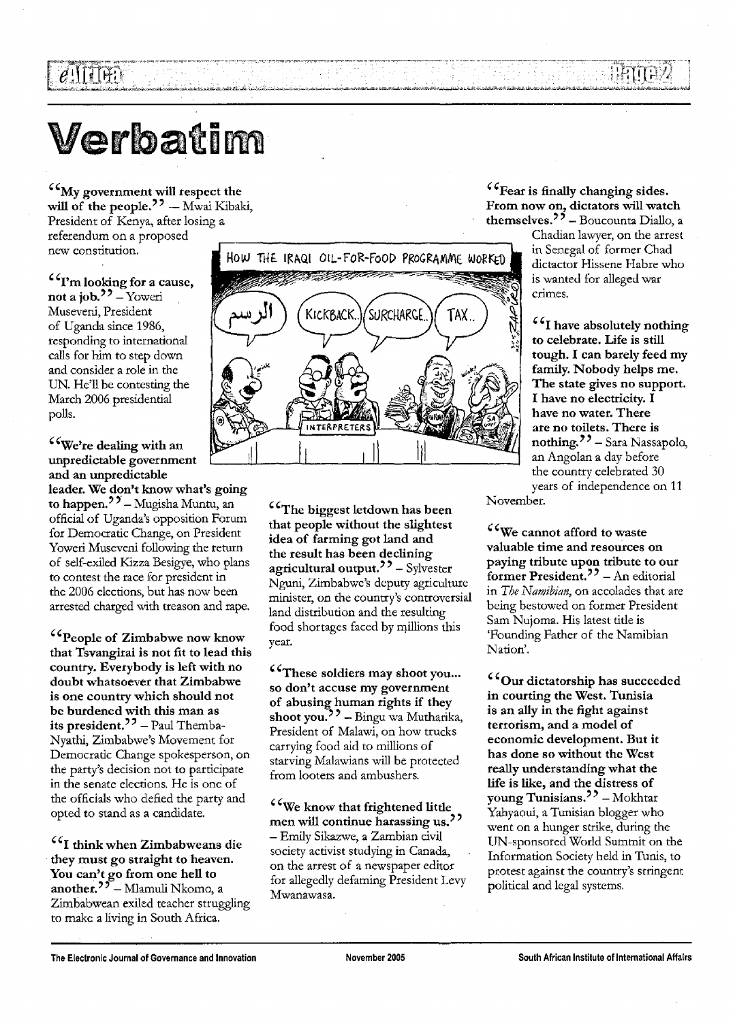# Verbatim

 $e$ 'i TTAN

**My government will respect the** will of the people.<sup>22</sup> - Mwai Kibaki, President of Kenya, after losing a referendum on a proposed new constitution.

**I'm looking for a cause, not a job.<sup>77</sup> – Yoweri** Museveni, President of Uganda since 1986, responding to international calls for him to step down and consider a role in the UN. He'll be contesting the March 2006 presidential polls.

### **We're dealing with an unpredictable government and an unpredictable**

**leader. We don't know what's going** to happen.<sup>27</sup> – Mugisha Muntu, an official of Uganda's opposition Forum for Democratic Change, on President Yoweri Museveni following the return of self-exiled Kizza Besigye, who plans to contest the race for president in the 2006 elections, but has now been arrested charged with treason and rape.

**People of Zimbabwe now know that Tsvangirai is not fit to lead this country. Everybody is left with no doubt whatsoever that Zimbabwe is one country which should not be burdened with this man as** its president.<sup>22</sup> - Paul Themba-Nyathi, Zimbabwe's Movement for Democratic Change spokesperson, on the party's decision not to participate in the senate elections. He is one of the officials who defied the party and opted to stand as a candidate.

**I think when Zimbabweans die they must go straight to heaven. You can't go from one hell to another.** — Mlamuli Nkomo, a Zimbabwean exiled teacher struggling to make a living in South Africa.



**The biggest letdown has been that people without the slightest idea of farming got land and the result has been declining agricultural output.** — Sylvester Nguni, Zimbabwe's deputy agriculture minister, on the country's controversial land distribution and the resulting food shortages faced by millions this year.

**These soldiers may shoot you... so don't accuse my government of abusing human rights if they shoot you.'** ' — Bingu wa Mutharika, President of Malawi, on how trucks carrying food aid to millions of starving Malawians will be protected from looters and ambushers.

£**<sup>C</sup>We know that frightened little men will continue harassing us.** — Emily Sikazwe, a Zambian civil society activist studying in Canada, on the arrest of a newspaper editor for allegedly defaming President Levy Mwanawasa.

**Fear is finally changing sides. From now on, dictators will watch themselves."** - Boucounta Diallo, a

Chadian lawyer, on the arrest dictactor Hissene Habre who is wanted for alleged war crimes.

**I have absolutely nothing to celebrate. Life is still tough. I can barely feed my family. Nobody helps me. The state gives no support. I have no electricity. I have no water. There are no toilets. There is nothing."** — Sara Nassapolo, an Angolan a day before the country celebrated 30 years of independence on 11

November.

**We cannot afford to waste valuable time and resources on paying tribute upon tribute to our former President.'** ' - An editorial in *The Namibian,* on accolades that are being bestowed on former President Sam Nujoma. His latest tide is 'Founding Father of the Namibian Nation'.

**Our dictatorship has succeeded in courting the West. Tunisia is an ally in the fight against terrorism, and a model of economic development. But it has done so without the West really understanding what the life is like, and the distress of young Tunisians.'** ' — Mokhtar Yahyaoui, a Tunisian blogger who went on a hunger strike, during the UN-sponsored World Summit on the Information Society held in Tunis, to protest against the country's stringent political and legal systems.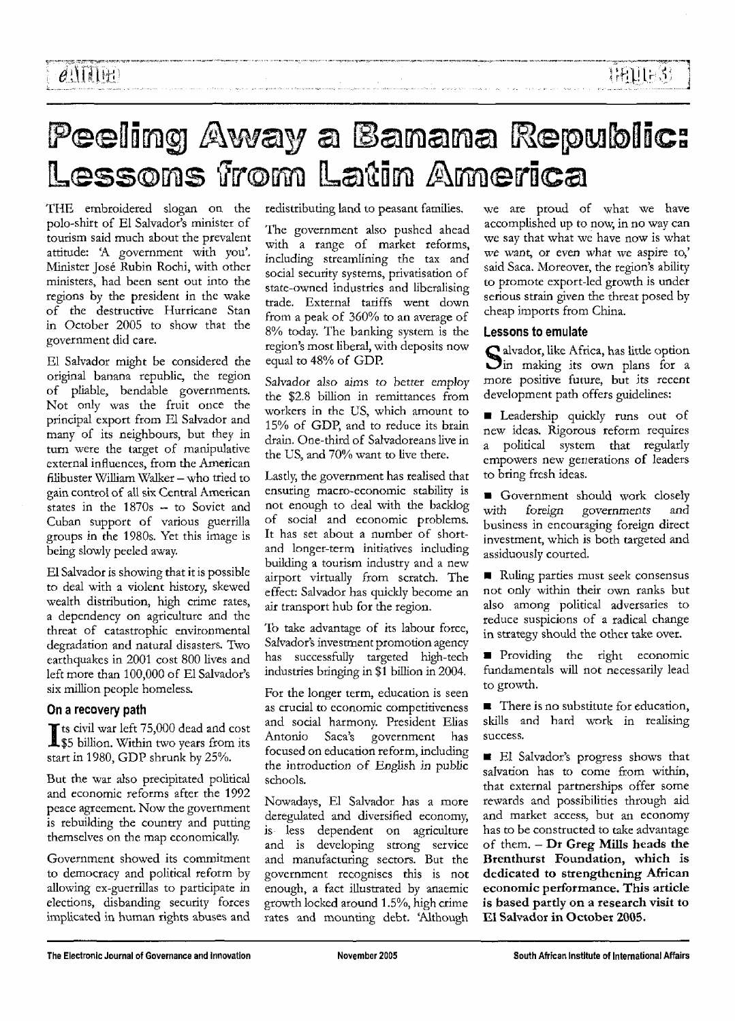# Peeling Away a Banana Republic: Lessons from Latin America

THE embroidered slogan on the polo-shirt of El Salvador's minister of tourism said much about the prevalent attitude: 'A government with you'. Minister Jose Rubin Rochi, with other ministers, had been sent out into the regions by the president in the wake of the destructive Hurricane Stan in October 2005 to show that the government did care.

El Salvador might be considered the original banana republic, the region of pliable, bendable governments. Not only was the fruit once the principal export from El Salvador and many of its neighbours, but they in turn were the target of manipulative external influences, from the American filibuster William Walker - who tried to gain control of all six Central American states in the 1870s — to Soviet and Cuban support of various guerrilla groups in the 1980s. Yet this image is being slowly peeled away.

El Salvador is showing that it is possible to deal with a violent history, skewed wealth distribution, high crime rates, a dependency on agriculture and the threat of catastrophic environmental degradation and natural disasters. Two earthquakes in 2001 cost 800 lives and left more than 100,000 of El Salvador's six million people homeless.

### **On a recovery path**

ts civil war left 75,000 dead and cost \$5 billion. Within two years from its start in 1980, GDP shrunk by 25%.

But the war also precipitated political and economic reforms after the 1992 peace agreement. Now the government is rebuilding the country and putting themselves on the map economically.

Government showed its commitment to democracy and political reform by allowing ex-guerrillas to participate in elections, disbanding security forces implicated in human rights abuses and redistributing land to peasant families.

The government also pushed ahead with a range of market reforms, including streamlining the tax and social security systems, privatisation of state-owned industries and liberalising trade. External tariffs went down from a peak of 360% to an average of 8% today. The banking system is the region's most liberal, with deposits now equal to 48% of GDP.

Salvador also aims *to* better employ the \$2.8 billion in remittances from workers in the US, which amount to 15% of GDP, and to reduce its brain drain. One-third of Salvadoreans live in the US, and 70% want to live there.

Lasdy, the government has realised that ensuring macro-economic stability is not enough to deal with the backlog of social and economic problems. It has set about a number of shortand longer-term initiatives including building a tourism industry and a new airport virtually from scratch. The effect: Salvador has quickly become an air transport hub for the region.

To take advantage of its labour force, Salvador's investment promotion agency has successfully targeted high-tech industries bringing in \$1 billion in 2004.

For the longer term, education is seen as crucial to economic competitiveness and social harmony. President Elias Antonio Saca's government has focused on education reform, including the introduction of English in public schools.

Nowadays, El Salvador has a more deregulated and diversified economy, is less dependent on agriculture and is developing strong service and manufacturing sectors. But the government recognises this is not enough, a fact illustrated by anaemic growth locked around 1.5%, high crime rates and mounting debt. 'Although

we are proud of what we have accomplished up to now, in no way can we say that what we have now is what we want, or even what we aspire to,' said Saca. Moreover, the region's ability to promote export-led growth is under serious strain given the threat posed by cheap imports from China.

1:AU1-33

#### **Lessons to emulate**

1 alvador, like Africa, has little option  $\sum$ in making its own plans for a more positive future, but its recent development path offers guidelines:

**E** Leadership quickly runs out of new ideas. Rigorous reform requires a political system that regularly empowers new generations of leaders to bring fresh ideas.

**• Government should work closely** with *foreign* governments and business in encouraging foreign direct investment, which is both targeted and assiduously courted.

Ruling parties must seek consensus not only within their own tanks but also among political adversaries to reduce suspicions of a radical change in strategy should the other take over.

**Providing** the right economic fundamentals will not necessarily lead to growth.

**•** There is no substitute for education, skills and hard work in realising success.

**El Salvador's progress shows that** salvation has to come from within, that external partnerships offer some rewards and possibilities through aid and market access, but an economy has to be constructed to take advantage of them. - **Dr Greg Mills heads the Brenthurst Foundation, which is dedicated to strengthening African economic performance. This article is based partly on a research visit to El Salvador in October 2005.**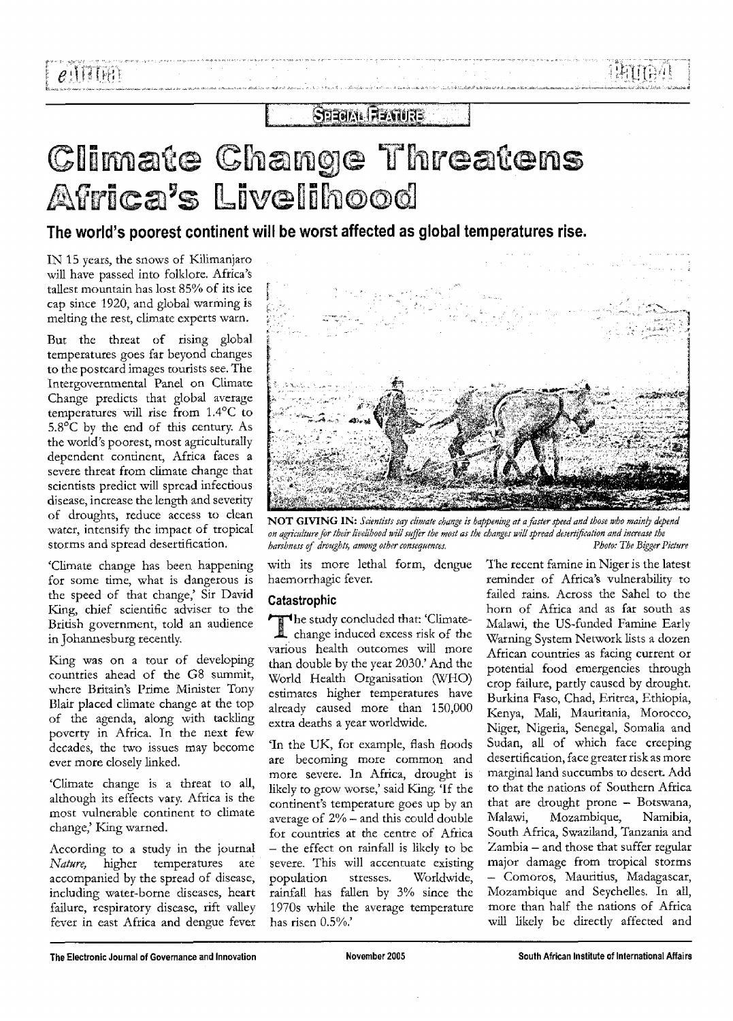### **STEAM FEAURE**

# Climate Change Threatens Africa's Livelihood

The world's poorest continent will be worst affected as global temperatures rise.

IN 15 years, the snows of Kilimanjaro will have passed into folklore. Africa's tallest mountain has lost 85% of its ice cap since 1920, and global warming is melting the rest, climate experts warn.

But the threat of rising global temperatures goes far beyond changes to the postcard images tourists see. The Intergovernmental Panel on Climate Change predicts that global average temperatures will rise from 1.4°C to 5.8°C by the end of this century. As the world's poorest, most agriculturally dependent continent, Africa faces a severe threat from climate change that scientists predict will spread infectious disease, increase the length and severity of droughts, reduce access to clean water, intensify the impact of tropical storms and spread desertification.

'Climate change has been happening for some time, what is dangerous is the speed of that change,' Sir David King, chief scientific adviser to the British government, told an audience in Johannesburg recently.

King was on a tour of developing countries ahead of the G8 summit, where Britain's Prime Minister Tony Blair placed climate change at the top of the agenda, along with tackling poverty in Africa. In the next few decades, the two issues may become ever more closely linked.

'Climate change is a threat to all, although its effects vary. Africa is the most vulnerable continent to climate change,' King warned.

According to a study in the journal *Nature,* higher temperatures are accompanied by the spread of disease, including water-borne diseases, heart failure, respiratory disease, rift valley fever in east Africa and dengue fever



N O T GIVING IN: *Scientists say climate c, happening at a faster speed and those who mainly depend on agriculture for their livelihood will suffer the most as harshness of droughts, among other consequences. Photo: The Bigger Picture*

with its more lethal form, dengue haemorrhagic fever.

### Catastrophic

 $\mathcal{F}$  the study concluded that: 'Climatechange induced excess risk of the various health outcomes will more than double by the year 2030.' And the World Health Organisation (WHO) estimates higher temperatures have already caused more than 150,000 extra deaths a year worldwide.

'In the UK, for example, flash floods are becoming more common and more severe. In Africa, drought is likely to grow worse,' said King. 'If the continent's temperature goes up by an average of 2% — and this could double for countries at the centre of Africa - the effect on rainfall is likely to be severe. This will accentuate existing population stresses. Worldwide, rainfall has fallen by 3% since the 1970s while the average temperature has risen 0.5%.'

The recent famine in Niger is the latest reminder of Africa's vulnerability to failed rains. Across the Sahel to the horn of Africa and as far south as Malawi, the US-funded Famine Early Warning System Network lists a dozen African countries as facing current or potential food emergencies through crop failure, partly caused by drought. Burkina Faso, Chad, Eritrea, Ethiopia, Kenya, Mali, Mauritania, Morocco, Niger, Nigeria, Senegal, Somalia and Sudan, all of which face creeping desertification, face greater risk as more marginal land succumbs to desert. Add to that the nations of Southern Africa to that the hattons of boundern frinca mat are chought prone -- Dotswana,<br>Malawi, Monambique, Momibia, Malawi, Mozambique, Namibia,<br>South Africa, Swaziland, Tanzania and  $Z$ <sub>cmb</sub>ia — and those that suffer regular zampia – and mose mai surier regular major damage from tropical storms - Comoros, Mauritius, Madagascar, Mozambique and Seychelles. In all, more than half the nations of Africa<br>will likely be directly affected and

िम्बानिया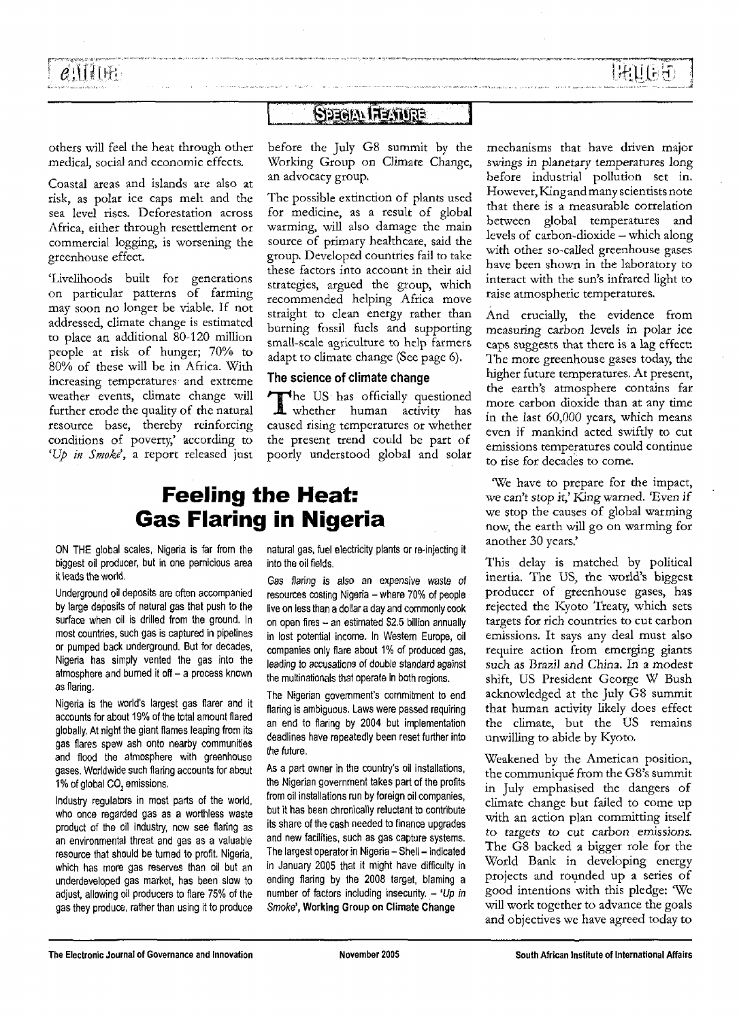HAITES

## **SPROIN FRAMER**

others will feel the heat through other medical, social and economic effects.

Coastal areas and islands are also at risk, as polar ice caps melt and the sea level rises. Deforestation across Africa, either through resettlement or commercial logging, is worsening the greenhouse effect.

'Livelihoods built for generations on particular patterns of farming may soon no longer be viable. If not addressed, climate change is estimated to place an additional 80-120 million people at risk of hunger; 70% to 80% of these will be in Africa. With increasing temperatures and extreme weather events, climate change will further erode the quality of the natural resource base, thereby reinforcing conditions of poverty,' according to *'Up in Smoke\* a report released just

before the July G8 summit by the Working Group on Climate Change, an advocacy group.

The possible extinction of plants used for medicine, as a result of global warming, will also damage the main source of primary healthcare, said the group. Developed countries fail to take these factors into account in their aid strategies, argued the group, which recommended helping Africa move straight to clean energy rather than burning fossil fuels and supporting small-scale agriculture to help farmers adapt to climate change (See page 6).

#### The science of climate change

The US has officially questioned<br>whether human activity has he US has officially questioned caused rising temperatures or whether the present trend could be part of poorly understood global and solar

# **Feeling the Heat: Gas Flaring in Nigeria**

ON THE global scales, Nigeria is far from the biggest oil producer, but in one pernicious area it leads the world.

Underground oil deposits are often accompanied by large deposits of natural gas that push to the surface when oil is drilled from the ground. In most countries, such gas is captured in pipelines or pumped back underground. But for decades, Nigeria has simply vented the gas into the atmosphere and burned it off  $-$  a process known as flaring.

Nigeria is the world's largest gas flarer and it accounts for about 19% of the total amount flared globally, At night the giant flames leaping from its gas flares spew ash onto nearby communities and flood the atmosphere with greenhouse gases. Worldwide such flaring accounts for about 1% of global CO, emissions.

Industry regulators in most parts of the world, who once regarded gas as a worthless waste product of the oil industry, now see flaring as an environmental threat and gas as a valuable resource that should be turned to profit. Nigeria, which has more gas reserves than oil but an underdeveloped gas market, has been slow to adjust, allowing oil producers to flare 75% of the gas they produce, rather than using it to produce natural gas, fuel electricity plants or re-injecting it into the oil fields.

Gas flaring is also an expensive waste of resources costing Nigeria - where 70% of people live on less than a dollar a day and commonly cook on open fires - an estimated \$2.5 billion annually in lost potential income. In Western Europe, oil companies only flare about 1% of produced gas, leading to accusations of double standard against the multinationals that operate in both regions.

The Nigerian government's commitment to end flaring is ambiguous. Laws were passed requiring an end to flaring by 2004 but implementation deadlines have repeatedly been reset further into the future,

As a part owner in the country's oil installations, the Nigerian government takes part of the profits from oil installations run by foreign oil companies, but it has been chronically reluctant to contribute its share of the cash needed to finance upgrades and new facilities, such as gas capture systems. The largest operator in Nigeria - Shell - indicated in January 2005 that it might have difficulty in ending flaring by the 2008 target, blaming a number of factors including insecurity.  $-$  'Up in Smoke', **Working Group on Climate Change**

mechanisms that have driven major swings in planetary temperatures long before industrial pollution set in. However, King and many scientists note that there is a measurable correlation between global temperatures and levels of carbon-dioxide —which along with other so-called greenhouse gases have been shown in the laboratory to interact with the sun's infrared light to raise atmospheric temperatures.

And crucially, the evidence from measuring carbon levels in polar ice caps suggests that there is a lag effect: The more greenhouse gases today, the higher future temperatures. At present, the earth's atmosphere contains far more carbon dioxide than at any time in the last *60,000* years, which means even if mankind acted swiftly to cut emissions temperatures could continue to rise for decades to come.

We have to prepare for the impact, we can't stop it,' King *warned.* 'Even if we stop the causes of global warming now, the earth will go on warming for another 30 years,'

This delay is matched by political inertia. The US, the world's biggest producer of greenhouse gases, has rejected the Kyoto Treaty, which sets targets for rich countries to cut carbon emissions. It says any deal must also require action from emerging giants such as *Brazil and* China. In a modest shift, US President George W Bush acknowledged at the July G8 summit that human activity likely does effect the climate, but the US remains unwilling to abide by Kyoto.

Weakened by the American position, the communique from the G8's summit in July emphasised the dangers of climate change but failed to come up with an action plan committing itself *to* targets *to cut carbon* emissions. The G8 backed a bigger role for the World Bank in developing energy projects and rounded up a series of good intentions with this pledge: 'We will work together to advance the goals and objectives we have agreed today to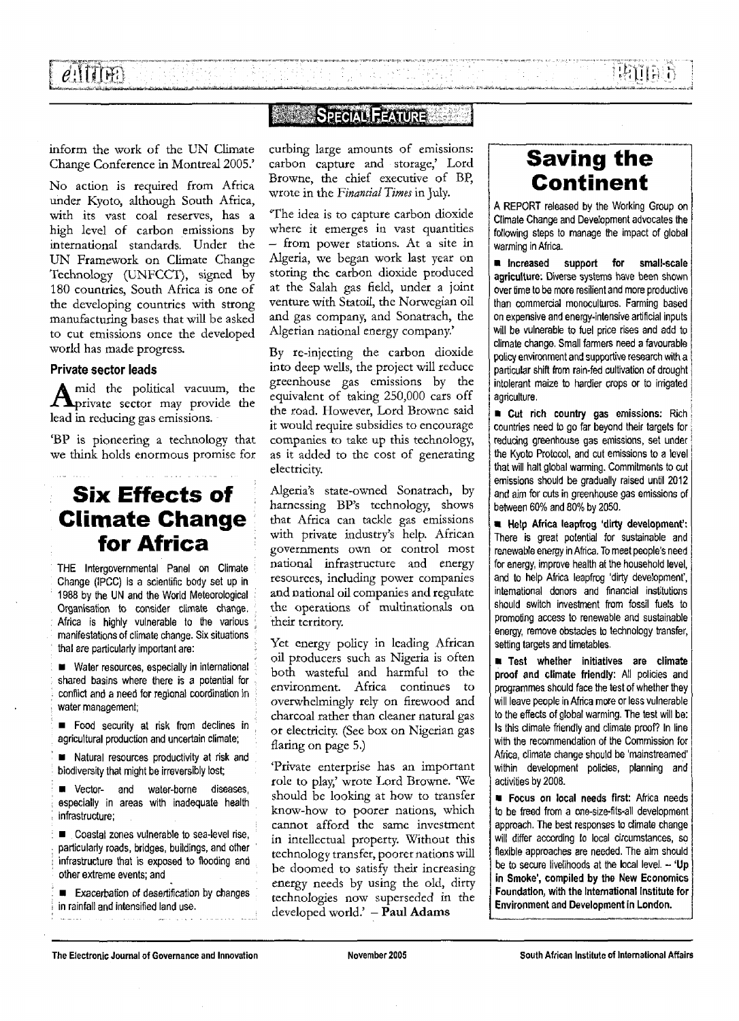$\phi$  in The  $\eta$ 

**EATE:** 

## **SANDA SPECIAL FEATURE AND**

inform the work of the UN Climate Change Conference in Montreal 2005.'

No action is required from Africa under Kyoto, although South Africa, with its vast coal reserves, has a high level of carbon emissions by international standards. Under the UN Framework on Climate Change Technology (UNFCCT), signed by 180 countries, South Africa is one of the developing countries with strong manufacturing bases that will be asked to cut emissions once the developed world has made progress.

#### **Private sector leads**

;

A mid the political vacuum, the mid the political vacuum, the lead in reducing gas emissions.

'BP is pioneering a technology that we think holds enormous promise for

## **Six Effects of Climate Change for Africa**

THE Intergovernmental Panel on Climate Change (IPCC) is a scientific body set up in 1988 by the UN and the World Meteorological Organisation to consider climate change, Africa is highly vulnerable to the various . manifestations of climate change. Six situations that are particularly important are: :

. • Water resources, especially in international shared basins where there is a potential for conflict and a need for regional coordination in water management;

• Food security at risk from declines in agricultural production and uncertain climate;

• Natural resources productivity at risk and . biodiversity that might be irreversibly lost;

**E** Vector- and water-borne diseases, especially in areas with inadequate health infrastructure;

 $\blacksquare$  Coastal zones vulnerable to sea-level rise, particularly roads, bridges, buildings, and other ' infrastructure that is exposed to flooding and other extreme events; and

**Exacerbation of desertification by changes** in rainfall and intensified land use.

curbing large amounts of emissions: carbon capture and storage,' Lord Browne, the chief executive of BP, wrote in the *Financial Times* in July.

'The idea is to capture carbon dioxide where it emerges in vast quantities — from power stations. At a site in Algeria, we began work last year on storing the carbon dioxide produced at the Salah gas field, under a joint venture with Statoil, the Norwegian oil and gas company, and Sonatrach, the Algerian national energy company.'

By re-injecting the carbon dioxide into deep wells, the project will reduce greenhouse gas emissions by the equivalent of taking 250,000 cars off the road. However, Lord Browne said it would require subsidies to encourage companies to take up this technology, as it added to the cost of generating electricity.

Algeria's state-owned Sonatrach, by harnessing BP's technology, shows that Africa can tackle gas emissions with private industry's help. African governments own or control most national infrastructure and energy resources, including power companies and national oil companies and regulate the operations of multinationals on their territory.

Yet energy policy in leading African oil producers such as Nigeria is often both wasteful and harmful to the environment. Africa continues to overwhelmingly rely on firewood and charcoal rather than cleaner natural gas or electricity. (See box on Nigerian gas flaring on page 5.)

'Private enterprise has an important role to play,' wrote Lord Browne. 'We should be looking at how to transfer know-how to poorer nations, which cannot afford the same investment in intellectual property. Without this technology transfer, poorer nations will be doomed to satisfy their increasing energy needs by using the old, dirty technologies now superseded in the developed world.' — Paul Adams

# **Saving the Continent**

A REPORT released by the Working Group on Climate Change and Development advocates the following steps to manage the impact of global warming in Africa.

**• Increased support for small-scale agriculture:** Diverse systems have been shown over time to be more resilient and more productive than commercial monocultures. Farming based on expensive and energy-intensive artificial inputs will be vulnerable to fuel price rises and add to climate change. Small farmers need a favourable policy environment and supportive research with a particular shift from rain-fed cultivation of drought intolerant maize to hardier crops or to irrigated agriculture.

*i* **• Cut rich country gas emissions:** Rich countries need to go far beyond their targets for reducing greenhouse gas emissions, set under the Kyoto Protocol, and cut emissions to a level that will halt global warming. Commitments to cut emissions should be gradually raised until 2012 and aim for cuts in greenhouse gas emissions of and aim for cuts in greenhouse gas emissions of between 60% and 80% by 2050.

**• Help Africa leapfrog 'dirty development':** There is great potential for sustainable and renewable energy in Africa. To meet people's need for energy, improve health at the household level, and to help Africa leapfrog 'dirty development', international donors and financial institutions should switch investment from fossil fuels to promoting access to renewable and sustainable energy, remove obstacles to technology transfer, setting targets and timetables.

**• Test whether initiatives are climate proof and climate friendly:** All policies and programmes should face the test of whether they will leave people in Africa more or less vulnerable to the effects of global warming. The test will be: Is this climate friendly and climate proof? In line with the recommendation of the Commission for Africa, climate change should be 'mainstreamed' within development policies, planning and activities by 2008.

**• Focus on local needs first:** Africa needs to be freed from a one-size-fits-all development approach. The best responses to climate change will differ according to local circumstances, so flexible approaches are needed. The aim should be to secure livelihoods at the local level. - **'Up in Smoke', compiled by the New Economics Foundation, with the International Institute for Environment and Development in London.**

**The Electronic Journal of Governance and Innovation November 2005 South African Institute of International Affairs**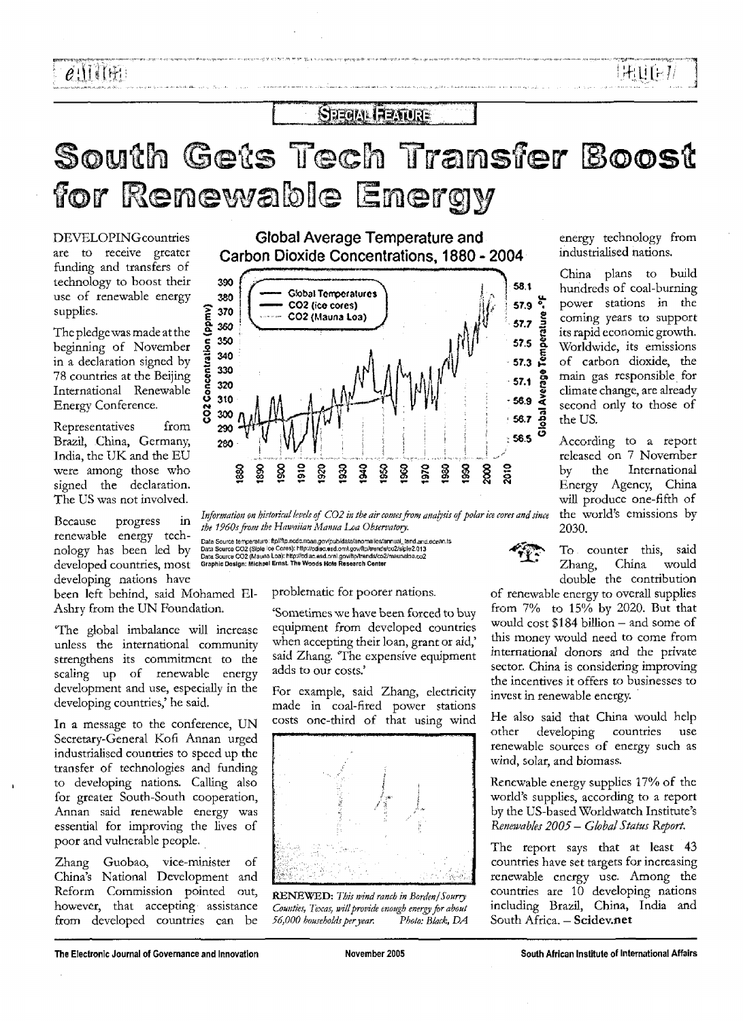..3

### **SEEGAL FEATURE**

# South Gets Tech Transfer Boost for Renewable Energy

DEVELOPINGcountries are to receive greater funding and transfers of technology to boost their use of renewable energy supplies.

The pledge was made at the beginning of November in a declaration signed by 78 countries at the Beijing International Renewable Energy Conference.

Representatives from Brazil, China, Germany, India, the UK and the EU were among those who signed the declaration. The US was not involved.

Because progress in renewable energy technology has been led by developed countries, most developing nations have

been left behind, said Mohamed El-Ashry from the UN Foundation.

'The global imbalance will increase unless the international community strengthens its commitment to the scaling up of renewable energy development and use, especially in the developing countries,' he said.

In a message to the conference, UN Secretary-General Kofi Annan urged industrialised countries to speed up the transfer of technologies and funding to developing nations. Calling also for greater South-South cooperation, Annan said renewable energy was essential for improving the lives of poor and vulnerable people.

Zhang Guobao, vice-minister of China's National Development and Reform Commission pointed out, however, that accepting assistance from developed countries can be

Global Average Temperature and Carbon Dioxide Concentrations, 1880 - 2004



*Information on historical levels of C02 in the air comes from analysis of polar ice cores and since the 1960s from the Hawaiian Manna Loa Observatory.*

Data Source temperature: fip/iftp.ncdc.noaa.gov/pub/data/anomalies/annual\_tend.and.ocean.ts<br>Data Source CO2 (Sipje loe Cores): http://cdiac.esd.om/.gov/fip/trends/co2/siple2.013<br>Data Source CO2 (Mauna Loa): http://cdiac.es

problematic for poorer nations.

'Sometimes we have been forced to buy equipment from developed countries when accepting their loan, grant or aid,' said Zhang. 'The expensive equipment adds to our costs.'

For example, said Zhang, electricity made in coal-fired power stations costs one-third of that using wind



RENEWED : *This mind ranch in harden j Sourry Counties, Texas, will provide enough energy for about 56,000 householdsperyear. Photo: Black, DA*

energy technology from industrialised nations.

China plans to build hundreds of coal-burning power stations in the coming years to support its rapid economic growth. Worldwide, its emissions of carbon dioxide, the main gas responsible for climate change, are already second only to those of the US.

According to a report released on 7 November by the International Energy Agency, China will produce one-fifth of the world's emissions by 2030.

To counter this, said Zhang, China would double the contribution

of renewable energy to overall supplies from 7% to 15% by 2020. But that would cost  $$184$  billion - and some of this money would need to come from international donors and the private sector. China is considering improving the incentives it offers to businesses to invest in renewable energy.

He also said that China would help other developing countries use renewable sources of energy such as wind, solar, and biomass.

Renewable energy supplies 17% of the world's supplies, according to a report by the US-based Worldwatch Institute's *Renewable\* 2005 — Global Status Report.*

The report says that at least 43 countries have set targets for increasing renewable energy use. Among the countries are 10 developing nations including Brazil, China, India and South Africa. - Scidev.net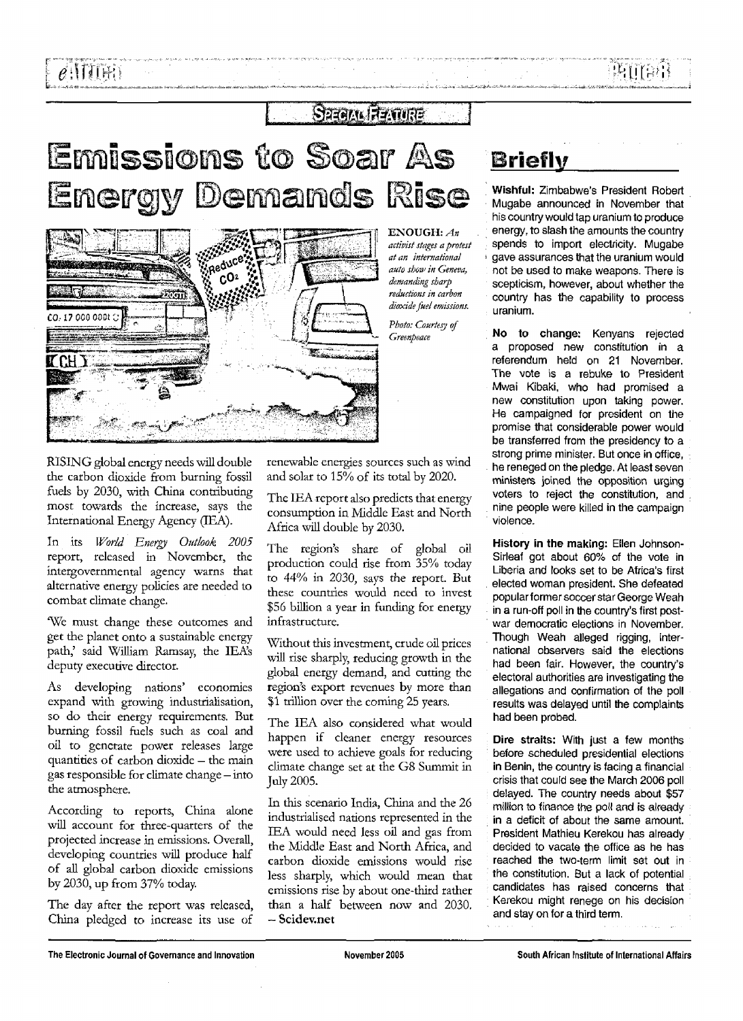## $S$ 239 $M$  $R$   $\overline{A}$   $\overline{A}$   $\overline{C}$

# Emissions to Soar As **Energy Demands Rise**



f ENOUGH: *An activist stages a protest at an international auto shoo<sup>1</sup> in Geneva, demanding sharp reductions in carbon dioxide fuel emissions.*

*Photo: Courtesy of* Greenpeace

RISING global energy needs will double the carbon dioxide from burning fossil fuels by 2030, with China contributing most towards the increase, says the International Energy Agency (TEA).

In its *World Energy Outlook 2005* report, released in November, the intergovernmental agency warns that alternative energy policies are needed to combat climate change.

We must change these outcomes and get the planet onto a sustainable energy path,' said William Ramsay, the IEA'S deputy executive director.

As developing nations' economies expand with growing industrialisation, so do their energy requirements. But burning fossil fuels such as coal and oil to generate power releases large quantities of carbon dioxide - the main gas responsible for climate change — into the atmosphere.

According to reports, China alone will account for three-quarters of the projected increase in emissions. Overall, developing countries will produce half of all global carbon dioxide emissions by 2030, up from 37% today.

The day after the report was released, China pledged to increase its use of

renewable energies sources such as wind and solar to  $15\%$  of its total by 2020.

The IEA report also predicts that energy consumption in Middle East and North Africa will double by 2030.

The region's share of global oil production could rise from 35% today to 44% in 2030, says the report. But these countries would need to invest \$56 billion a year in funding for energy infrastructure.

Without this investment, crude oil prices will rise sharply, reducing growth in the global energy demand, and cutting the region's export revenues by more than \$1 trillion over the coming 25 years.

The IEA also considered what would happen if cleaner energy resources were used to achieve goals for reducing climate change set at the G8 Summit in July 2005.

In this scenario India, China and the 26 industrialised nations represented in the IEA would need less oil and gas from the Middle East and North Africa, and carbon dioxide emissions would rise less sharply, which would mean that emissions rise by about one-third rather than a half between now and 2030. - Scidev.net

# **Briefly**

**Wishful:** Zimbabwe's President Robert Mugabe announced in November that his country would tap uranium to produce energy, to slash the amounts the country spends to import electricity. Mugabe gave assurances that the uranium would not be used to make weapons. There is scepticism, however, about whether the country has the capability to process uranium.

**No to change:** Kenyans rejected a proposed new constitution in a referendum held on 21 November. The vote is a rebuke to President Mwai Kibaki, who had promised a new constitution upon taking power. He campaigned for president on the promise that considerable power would be transferred from the presidency to a strong prime minister. But once in office, he reneged on the pledge. At least seven ministers joined the opposition urging voters to reject the constitution, and nine people were killed in the campaign violence.

**History in the making:** Ellen Johnson-Sirleaf got about 60% of the vote in Liberia and looks set to be Africa's first elected woman president. She defeated popular former soccer star George Weah in a run-off poll in the country's first postwar democratic elections in November. Though Weah alleged rigging, international observers said the elections had been fair. However, the country's electoral authorities are investigating the allegations and confirmation of the poll results was delayed until the complaints had been probed.

**Dire straits:** With just a few months before scheduled presidential elections in Benin, the country is facing a financial crisis that could see the March 2006 poll delayed. The country needs about \$57 million to finance the poll and is already in a deficit of about the same amount. President Mathieu Kerekou has already decided to vacate the office as he has reached the two-term limit set out in the constitution. But a lack of potential candidates has raised concerns that Kerekou might renege on his decision and stay on for a third term.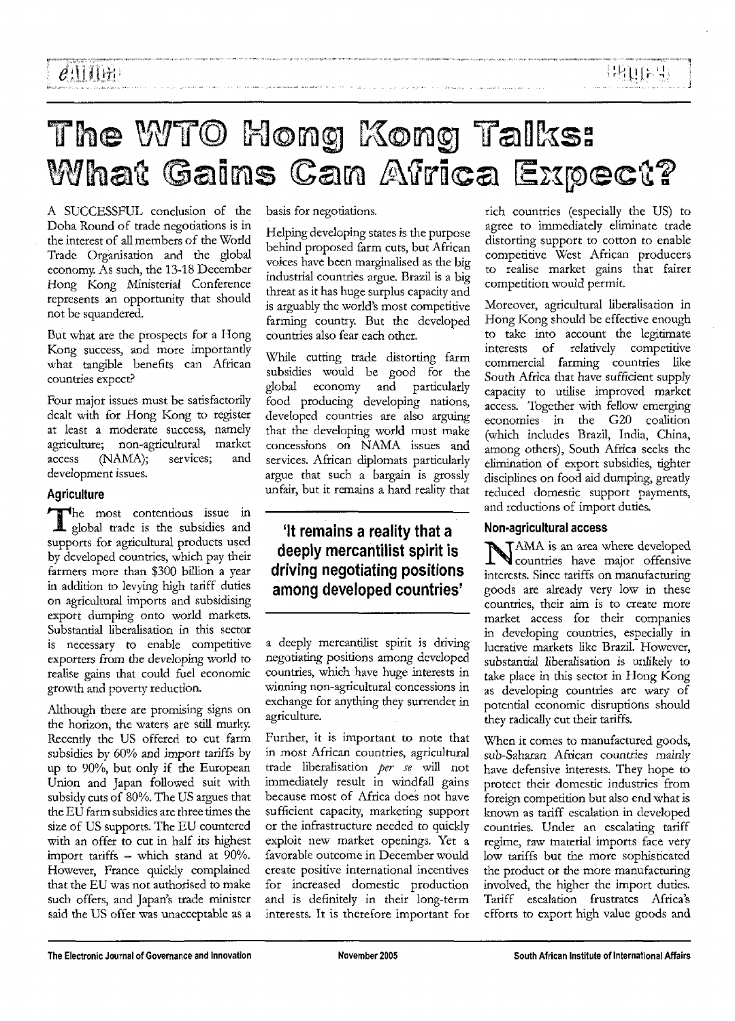# The WTO Hong Kong Talks: What Gains Can Africa Expect?

A SUCCESSFUL conclusion of the Doha Round of trade negotiations is in the interest of all members of the World Trade Organisation and the global economy. As such, the 13-18 December Hong Kong Ministerial Conference represents an opportunity that should not be squandered.

But what are the prospects for a Hong Kong success, and more importantly what tangible benefits can African countries expect?

Four major issues must be satisfactorily dealt with for Hong Kong to register at least a moderate success, namely agriculture; non-agricultural market access (NAMA); services; and development issues.

### **Agriculture**

\*he most contentious issue in global trade is the subsidies and supports for agricultural products used by developed countries, which pay their farmers more than \$300 billion a year in addition to levying high tariff duties on agricultural imports and subsidising export dumping onto world markets. Substantial liberalisation in this sector is necessary to enable competitive exporters from the developing world *to* realise gains that could fuel economic growth and poverty reduction.

Although there are promising signs on the horizon, the waters are still murky. Recently the US offered to cut farm subsidies by 60% and import tariffs by up to 90%, but only if the European Union and Japan followed suit with subsidy cuts of 80%. The US argues that the EU farm subsidies are three times the size of US supports. The EU countered with an offer to cut in half its highest import tariffs - which stand at 90%. However, France quickly complained that the EU was not authorised to make such offers, and Japan's trade minister said the US offer was unacceptable as a basis for negotiations.

Helping developing states is the purpose behind proposed farm cuts, but African voices have been marginalised as the big industrial countries argue. Brazil is a big threat as it has huge surplus capacity and is arguably the world's most competitive farming country. But the developed countries also fear each other.

While cutting trade distorting farm subsidies would be good for the global economy and particularly food producing developing nations, developed countries are also arguing that the developing world must make concessions on NAMA issues and services. African diplomats particularly argue that such a bargain is grossly unfair, but it remains a hard reality that

### 'It remains a reality that a deeply mercantilist spirit is driving negotiating positions among developed countries'

a deeply mercantilist spirit is driving negotiating positions among developed countries, which have huge interests in winning non-agricultural concessions in exchange for anything they surrender in agriculture.

Further, it is important to note that in most African countries, agricultural trade liberalisation *per se* will not immediately result in windfall gains because most of Africa does not have sufficient capacity, marketing support or the infrastructure needed to quickly exploit new market openings. Yet a favorable outcome in December would create positive international incentives for increased domestic production and is definitely in their long-term interests. It is therefore important for rich countries (especially the US) to agree to immediately eliminate trade distorting support to cotton to enable competitive West African producers to realise market gains that fairer competition would permit.

**: IRUTE 4:** 

Moreover, agricultural liberalisation in Hong Kong should be effective enough to take into account the legitimate interests of relatively competitive commercial farming countries like South Africa that have sufficient supply capacity to utilise improved market access. Together with fellow emerging economies in the G20 coalition (which includes Brazil, India, China, among others), South Africa seeks the elimination of export subsidies, tighter disciplines on food aid dumping, greatly reduced domestic support payments, and reductions of import duties.

### **Non-agricultural access**

'AMA is an area where developed countries have major offensive interests. Since tariffs on manufacturing goods are already very low in these countries, their aim is to create more market access for their companies in developing countries, especially in lucrative markets like Brazil. However, substantial liberalisation is unlikely to take place in this sector in Hong Kong as developing countries are wary of potential economic disruptions should they radically cut their tariffs.

When it comes to manufactured goods, sub-Saharan African countries mainly have defensive interests. They hope to protect their domestic industries from foreign competition but also end what is known as tariff escalation in developed countries. Under an escalating tariff regime, raw material imports face very low tariffs but the more sophisticated the product or the more manufacturing involved, the higher the import duties. Tariff escalation frustrates Africa's efforts to export high value goods and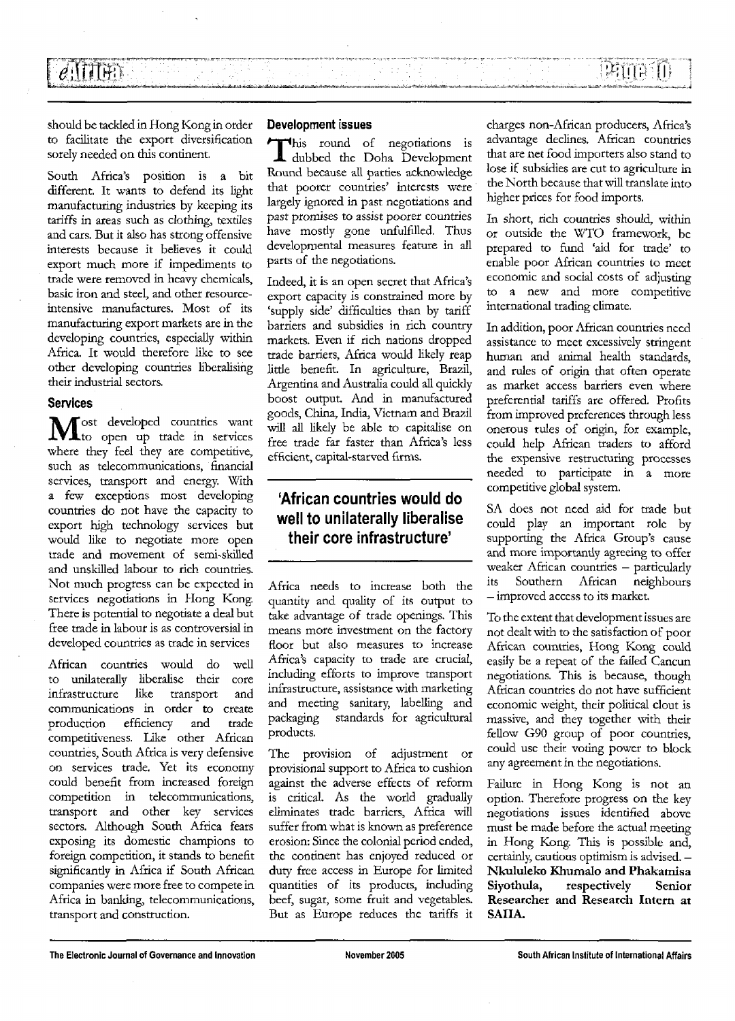PANTASIT

should be tackled in Hong Kong in order to facilitate the export diversification sorely needed on this continent.

 $e$ ittin

South Africa's position is a bit different. It wants to defend its light manufacturing industries by keeping its tariffs in areas such as clothing, textiles and cars. But it also has strong offensive interests because it believes it could export much more if impediments to trade were removed in heavy chemicals, basic iron and steel, and other resourceintensive manufactures. Most of its manufacturing export markets are in the developing countries, especially within Africa. It would therefore like to see other developing countries liberalising their industrial sectors.

#### **Services**

Most developed countries want where they feel they are competitive, such as telecommunications, financial services, transport and energy. With a few exceptions most developing countries do not have the capacity to export high technology services but would like to negotiate more open trade and movement of semi-skilled and unskilled labour to rich countries. Not much progress can be expected in services negotiations in Hong Kong. There is potential to negotiate a deal but free trade in labour is as controversial in developed countries as trade in services

African countries would do well to unilaterally liberalise their core infrastructure like transport and communications in order to create production efficiency and trade competitiveness. like other African countries, South Africa is very defensive on services trade. Yet its economy could benefit from increased foreign competition in telecommunications, transport and other key services sectors. Although South Africa fears exposing its domestic champions to foreign competition, it stands to benefit significantly in Africa if South African companies were more free to compete in Africa in banking, telecommunications, transport and construction.

#### Development issues

This round of negotiations is<br>dubbed the Doha Development<br>Pannahlastics of negotiation of the property his round of negotiations is Round because all parties acknowledge that poorer countries' interests were largely ignored in past negotiations and past promises to assist poorer countries have mostly gone unfulfilled. Thus developmental measures feature in all parts of the negotiations.

Indeed, it is an open secret that Africa's export capacity is constrained more by 'supply side' difficulties than by tariff barriers and subsidies in rich country markets. Even if rich nations dropped trade barriers, Africa would likely reap little benefit. In agriculture, Brazil, Argentina and Australia could all quickly boost output. And in manufactured goods, China, India, Vietnam and Brazil will all likely be able to capitalise on free trade far faster than Africa's less efficient, capital-starved firms.

### 'African countries would do well to unilaterally liberalise their core infrastructure'

Africa needs to increase both the quantity and quality of its output to take advantage of trade openings. This means more investment on the factory floor but also measures to increase Africa's capacity to trade are crucial, including efforts to improve transport infrastructure, assistance with marketing and meeting sanitary, labelling and packaging standards for agricultural products.

The provision of adjustment or provisional support to Africa to cushion against the adverse effects of reform is critical. As the world gradually eliminates trade barriers, Africa will suffer from what is known as preference erosion: Since the colonial period ended, the continent has enjoyed reduced or duty free access in Europe for limited quantities of its products, including beef, sugar, some fruit and vegetables. But as Europe reduces the tariffs it

charges non-African producers, Africa's advantage declines. African countries that are net food importers also stand to lose if subsidies are cut to agriculture in the North because that will translate into higher prices for food imports.

In short, rich countries should, within or outside the WTO framework, be prepared to fund 'aid for trade' to enable poor African countries to meet economic and social costs of adjusting to a new and more competitive international trading climate.

In addition, poor African countries need assistance to meet excessively stringent human and animal health standards, and rules of origin that often operate as market access barriers even where preferential tariffs are offered. Profits from improved preferences through less onerous rules of origin, for example, could help African traders to afford the expensive restructuring processes needed to participate in a more competitive global system.

SA does not need aid for trade but could play an important role by supporting the Africa Group's cause and more importantly agreeing to offer weaker African countries - particularly its Southern African neighbours — improved access to its market.

To the extent that development issues are not dealt with to the satisfaction of poor African countries, Hong Kong could easily be a repeat of the failed Cancun negotiations. This is because, though African countries do not have sufficient economic weight, their political clout is massive, and they together with their fellow G90 group of poor countries, could use their voting power to block any agreement in the negotiations.

Failure in Hong Kong is not an option. Therefore progress on the key negotiations issues identified above must be made before the actual meeting in Hong Kong. This is possible and, certainly, cautious optimism is advised. — **Nkululeko Khumalo and Phakamisa respectively** Senior **Researcher and Research Intern at SAIIA.**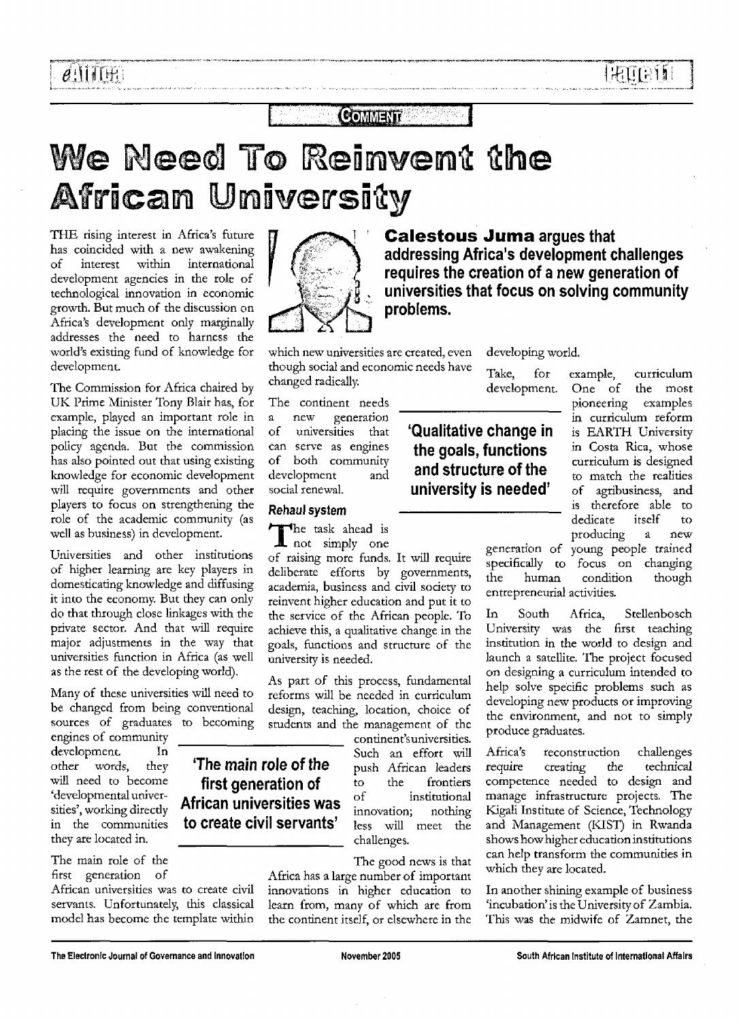### **COMMENT**

# We Need To Reinvent the African University

THE rising interest in Africa's future has coincided with a new awakening of interest within international development agencies in the role of technological innovation in economic growth. But much of the discussion on Africa's development only marginally addresses the need to harness the world's existing fund of knowledge for development.

The Commission for Africa chaired by UK Prime Minister Tony Blair has, for example, played an important role in placing the issue on the international policy agenda. But the commission has also pointed out that using existing knowledge for economic development will require governments and other players to focus on strengthening the role of the academic community (as well as business) in development.

Universities and other institutions of higher learning are key players in domesticating knowledge and diffusing it into the economy. But they can only do that through close linkages with the private sector. And that will require major adjustments in the way that universities function in Africa (as well as the rest of the developing world).

Many of these universities will need to be changed from being conventional sources of graduates to becoming

engines of community development. In other words, they will need to become 'developmental universities', working directly in the communities they are located in.

The main role of the first generation of

African universities was to create civil servants. Unfortunately, this classical model has become the template within



which new universities are created, even though social and economic needs have changed radically.

The continent needs a new generation of universities that can serve as engines of both community development and social renewal.

#### Rehaul system

The main role of the first generation of African universities was to create civil servants'

The task ahead is<br>
not simply one **L** not simply one

of raising more funds. It will require deliberate efforts by governments, academia, business and civil society to reinvent higher education and put it to the service of the African people. To achieve this, a qualitative change in the goals, functions and structure of the university is needed.

As part of this process, fundamental reforms will be needed in curriculum design, teaching, location, choice of students and the management of the

> continent's universities. Such an effort will push African leaders to the frontiers of institutional innovation; nothing less will meet the challenges.

The good news is that

Africa has a large number of important innovations in higher education to learn from, many of which are from the continent itself, or elsewhere in the

**Calestous Juma** argues that addressing Africa's development challenges requires the creation of a new generation of universities that focus on solving community problems.

developing world.

'Qualitative change in the goals, functions and structure of the university is needed'

Take, for example, curriculum development. One of the most pioneering examples in curriculum reform is EARTH University in Costa Rica, whose curriculum is designed to match the realities of agribusiness, and is therefore able to dedicate itself to producing a new generation of young people trained

specifically to focus on changing the human condition though entrepreneurial activities.

In South Africa, Stellenbosch University was the first teaching institution in the world to design and launch a satellite. The project focused on designing a curriculum intended to help solve specific problems such as developing new products or improving the environment, and not to simply produce graduates.

Africa's reconstruction challenges require creating the technical competence needed to design and manage infrastructure projects. The Kigali Institute of Science, Technology and Management (KIST) in Rwanda shows how higher education institutions can help transform the communities in which they are located.

In another shining example of business 'incubation'is the University of Zambia. This was the midwife of Zamnet, the